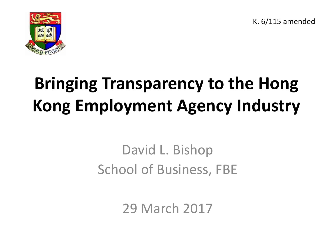K. 6/115 amended



#### **Bringing Transparency to the Hong Kong Employment Agency Industry**

#### David L. Bishop School of Business, FBE

29 March 2017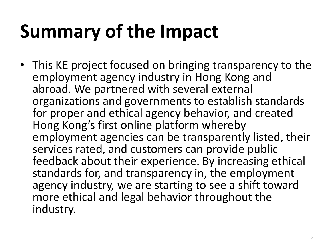## **Summary of the Impact**

• This KE project focused on bringing transparency to the employment agency industry in Hong Kong and abroad. We partnered with several external organizations and governments to establish standards for proper and ethical agency behavior, and created Hong Kong's first online platform whereby employment agencies can be transparently listed, their services rated, and customers can provide public feedback about their experience. By increasing ethical standards for, and transparency in, the employment agency industry, we are starting to see a shift toward more ethical and legal behavior throughout the industry.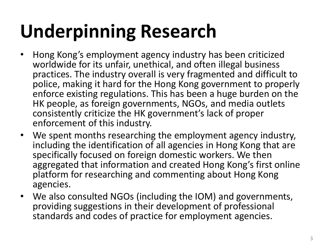- Hong Kong's employment agency industry has been criticized worldwide for its unfair, unethical, and often illegal business practices. The industry overall is very fragmented and difficult to police, making it hard for the Hong Kong government to properly enforce existing regulations. This has been a huge burden on the HK people, as foreign governments, NGOs, and media outlets consistently criticize the HK government's lack of proper enforcement of this industry.
- We spent months researching the employment agency industry, including the identification of all agencies in Hong Kong that are specifically focused on foreign domestic workers. We then aggregated that information and created Hong Kong's first online platform for researching and commenting about Hong Kong agencies.
- We also consulted NGOs (including the IOM) and governments, providing suggestions in their development of professional standards and codes of practice for employment agencies.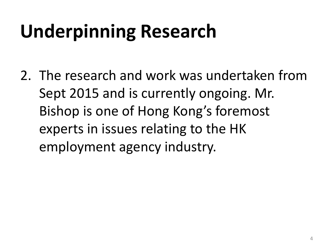2. The research and work was undertaken from Sept 2015 and is currently ongoing. Mr. Bishop is one of Hong Kong's foremost experts in issues relating to the HK employment agency industry.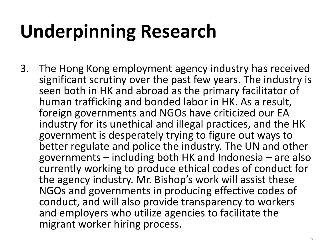3. The Hong Kong employment agency industry has received significant scrutiny over the past few years. The industry is seen both in HK and abroad as the primary facilitator of human trafficking and bonded labor in HK. As a result, foreign governments and NGOs have criticized our EA industry for its unethical and illegal practices, and the HK government is desperately trying to figure out ways to better regulate and police the industry. The UN and other governments – including both HK and Indonesia – are also currently working to produce ethical codes of conduct for the agency industry. Mr. Bishop's work will assist these NGOs and governments in producing effective codes of conduct, and will also provide transparency to workers and employers who utilize agencies to facilitate the migrant worker hiring process.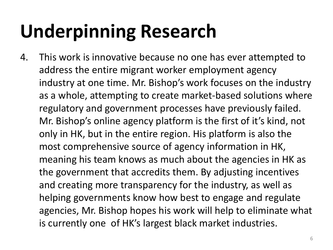4. This work is innovative because no one has ever attempted to address the entire migrant worker employment agency industry at one time. Mr. Bishop's work focuses on the industry as a whole, attempting to create market-based solutions where regulatory and government processes have previously failed. Mr. Bishop's online agency platform is the first of it's kind, not only in HK, but in the entire region. His platform is also the most comprehensive source of agency information in HK, meaning his team knows as much about the agencies in HK as the government that accredits them. By adjusting incentives and creating more transparency for the industry, as well as helping governments know how best to engage and regulate agencies, Mr. Bishop hopes his work will help to eliminate what is currently one of HK's largest black market industries.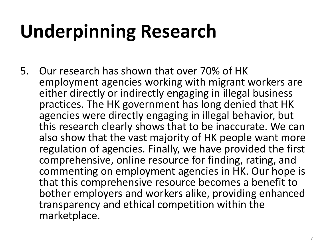5. Our research has shown that over 70% of HK employment agencies working with migrant workers are either directly or indirectly engaging in illegal business practices. The HK government has long denied that HK agencies were directly engaging in illegal behavior, but this research clearly shows that to be inaccurate. We can also show that the vast majority of HK people want more regulation of agencies. Finally, we have provided the first comprehensive, online resource for finding, rating, and commenting on employment agencies in HK. Our hope is that this comprehensive resource becomes a benefit to bother employers and workers alike, providing enhanced transparency and ethical competition within the marketplace.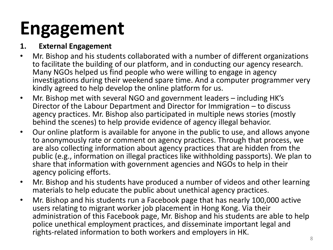#### **Engagement**

#### **1. External Engagement**

- Mr. Bishop and his students collaborated with a number of different organizations to facilitate the building of our platform, and in conducting our agency research. Many NGOs helped us find people who were willing to engage in agency investigations during their weekend spare time. And a computer programmer very kindly agreed to help develop the online platform for us.
- Mr. Bishop met with several NGO and government leaders including HK's Director of the Labour Department and Director for Immigration – to discuss agency practices. Mr. Bishop also participated in multiple news stories (mostly behind the scenes) to help provide evidence of agency illegal behavior.
- Our online platform is available for anyone in the public to use, and allows anyone to anonymously rate or comment on agency practices. Through that process, we are also collecting information about agency practices that are hidden from the public (e.g., information on illegal practices like withholding passports). We plan to share that information with government agencies and NGOs to help in their agency policing efforts.
- Mr. Bishop and his students have produced a number of videos and other learning materials to help educate the public about unethical agency practices.
- Mr. Bishop and his students run a Facebook page that has nearly 100,000 active users relating to migrant worker job placement in Hong Kong. Via their administration of this Facebook page, Mr. Bishop and his students are able to help police unethical employment practices, and disseminate important legal and rights-related information to both workers and employers in HK.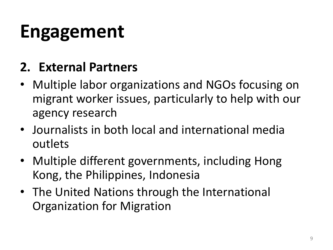#### **Engagement**

#### **2. External Partners**

- Multiple labor organizations and NGOs focusing on migrant worker issues, particularly to help with our agency research
- Journalists in both local and international media outlets
- Multiple different governments, including Hong Kong, the Philippines, Indonesia
- The United Nations through the International Organization for Migration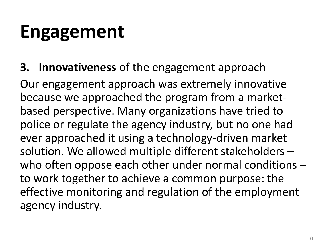#### **Engagement**

**3. Innovativeness** of the engagement approach

Our engagement approach was extremely innovative because we approached the program from a marketbased perspective. Many organizations have tried to police or regulate the agency industry, but no one had ever approached it using a technology-driven market solution. We allowed multiple different stakeholders – who often oppose each other under normal conditions to work together to achieve a common purpose: the effective monitoring and regulation of the employment agency industry.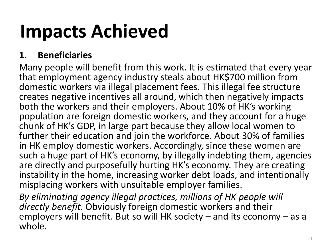#### **Impacts Achieved**

#### **1. Beneficiaries**

Many people will benefit from this work. It is estimated that every year that employment agency industry steals about HK\$700 million from domestic workers via illegal placement fees. This illegal fee structure creates negative incentives all around, which then negatively impacts both the workers and their employers. About 10% of HK's working population are foreign domestic workers, and they account for a huge chunk of HK's GDP, in large part because they allow local women to further their education and join the workforce. About 30% of families in HK employ domestic workers. Accordingly, since these women are such a huge part of HK's economy, by illegally indebting them, agencies are directly and purposefully hurting HK's economy. They are creating instability in the home, increasing worker debt loads, and intentionally misplacing workers with unsuitable employer families.

*By eliminating agency illegal practices, millions of HK people will directly benefit.* Obviously foreign domestic workers and their employers will benefit. But so will HK society – and its economy – as a whole.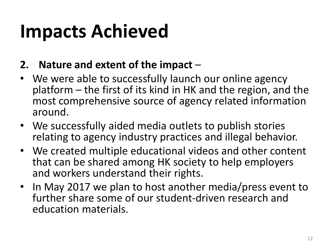#### **Impacts Achieved**

#### **2. Nature and extent of the impact** –

- We were able to successfully launch our online agency platform – the first of its kind in HK and the region, and the most comprehensive source of agency related information around.
- We successfully aided media outlets to publish stories relating to agency industry practices and illegal behavior.
- We created multiple educational videos and other content that can be shared among HK society to help employers and workers understand their rights.
- In May 2017 we plan to host another media/press event to further share some of our student-driven research and education materials.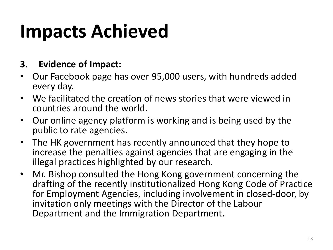#### **Impacts Achieved**

#### **3. Evidence of Impact:**

- Our Facebook page has over 95,000 users, with hundreds added every day.
- We facilitated the creation of news stories that were viewed in countries around the world.
- Our online agency platform is working and is being used by the public to rate agencies.
- The HK government has recently announced that they hope to increase the penalties against agencies that are engaging in the illegal practices highlighted by our research.
- Mr. Bishop consulted the Hong Kong government concerning the drafting of the recently institutionalized Hong Kong Code of Practice for Employment Agencies, including involvement in closed-door, by invitation only meetings with the Director of the Labour Department and the Immigration Department.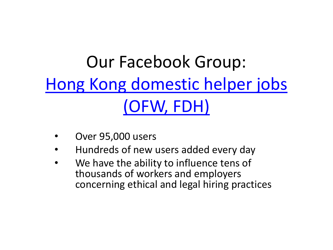#### Our Facebook Group: [Hong Kong domestic helper jobs](https://www.facebook.com/groups/HKDomesticHelperJobs/)  (OFW, FDH)

- Over 95,000 users
- Hundreds of new users added every day
- We have the ability to influence tens of thousands of workers and employers concerning ethical and legal hiring practices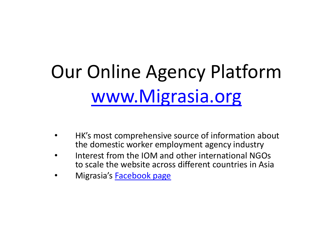# Our Online Agency Platform [www.Migrasia.org](http://www.migrasia.org/)

- HK's most comprehensive source of information about the domestic worker employment agency industry
- Interest from the IOM and other international NGOs to scale the website across different countries in Asia
- Migrasia's **[Facebook page](https://www.facebook.com/Migrasia/)**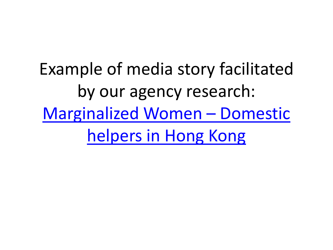Example of media story facilitated by our agency research: [Marginalized Women](http://in.reuters.com/video/2017/03/10/marginalized-women-domestic-helpers-in-h?videoId=371277660&videoChannel=117460) – Domestic helpers in Hong Kong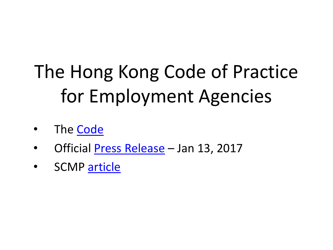# The Hong Kong Code of Practice for Employment Agencies

- The [Code](http://www.gov.hk/en/residents/government/publication/consultation/docs/2016/CoP.pdf)
- Official [Press Release](http://www.info.gov.hk/gia/general/201701/13/P2017011300300.htm) Jan 13, 2017
- SCMP [article](http://www.scmp.com/news/hong-kong/education-community/article/2062047/hong-kong-employment-agencies-risk-losing-their)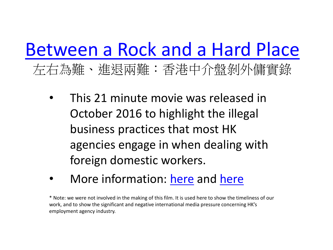#### [Between a Rock and a Hard Place](https://www.youtube.com/watch?v=AwowYd_Ha2c&feature=youtu.be)  左右為難、進退兩難:香港中介盤剝外傭實錄

- This 21 minute movie was released in October 2016 to highlight the illegal business practices that most HK agencies engage in when dealing with foreign domestic workers.
- More information: [here](http://www.fadwu.org/node/217) and [here](https://project-189.org/2016/11/03/between-a-rock-and-a-hard-place-domestic-workers-in-hong-kong/)

\* Note: we were not involved in the making of this film. It is used here to show the timeliness of our work, and to show the significant and negative international media pressure concerning HK's employment agency industry.